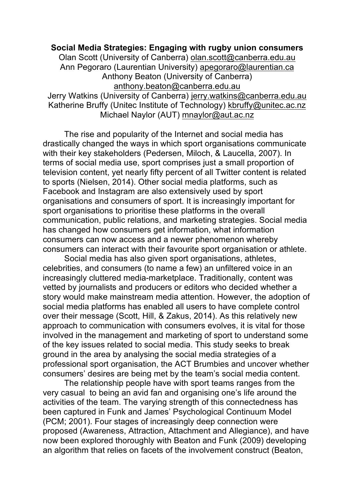## **Social Media Strategies: Engaging with rugby union consumers** Olan Scott (University of Canberra) olan.scott@canberra.edu.au Ann Pegoraro (Laurentian University) apegoraro@laurentian.ca Anthony Beaton (University of Canberra) anthony.beaton@canberra.edu.au Jerry Watkins (University of Canberra) jerry.watkins@canberra.edu.au Katherine Bruffy (Unitec Institute of Technology) kbruffy@unitec.ac.nz Michael Naylor (AUT) mnaylor@aut.ac.nz

The rise and popularity of the Internet and social media has drastically changed the ways in which sport organisations communicate with their key stakeholders (Pedersen, Miloch, & Laucella, 2007). In terms of social media use, sport comprises just a small proportion of television content, yet nearly fifty percent of all Twitter content is related to sports (Nielsen, 2014). Other social media platforms, such as Facebook and Instagram are also extensively used by sport organisations and consumers of sport. It is increasingly important for sport organisations to prioritise these platforms in the overall communication, public relations, and marketing strategies. Social media has changed how consumers get information, what information consumers can now access and a newer phenomenon whereby consumers can interact with their favourite sport organisation or athlete.

Social media has also given sport organisations, athletes, celebrities, and consumers (to name a few) an unfiltered voice in an increasingly cluttered media-marketplace. Traditionally, content was vetted by journalists and producers or editors who decided whether a story would make mainstream media attention. However, the adoption of social media platforms has enabled all users to have complete control over their message (Scott, Hill, & Zakus, 2014). As this relatively new approach to communication with consumers evolves, it is vital for those involved in the management and marketing of sport to understand some of the key issues related to social media. This study seeks to break ground in the area by analysing the social media strategies of a professional sport organisation, the ACT Brumbies and uncover whether consumers' desires are being met by the team's social media content.

The relationship people have with sport teams ranges from the very casual to being an avid fan and organising one's life around the activities of the team. The varying strength of this connectedness has been captured in Funk and James' Psychological Continuum Model (PCM; 2001). Four stages of increasingly deep connection were proposed (Awareness, Attraction, Attachment and Allegiance), and have now been explored thoroughly with Beaton and Funk (2009) developing an algorithm that relies on facets of the involvement construct (Beaton,